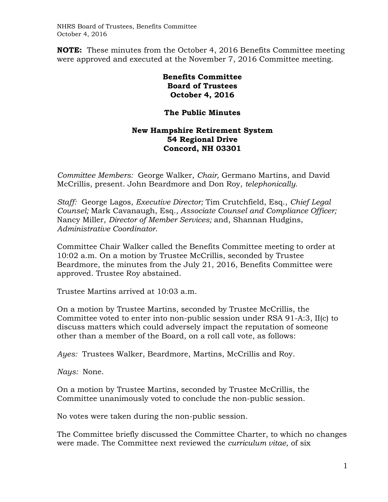**NOTE:** These minutes from the October 4, 2016 Benefits Committee meeting were approved and executed at the November 7, 2016 Committee meeting.

> **Benefits Committee Board of Trustees October 4, 2016**

## **The Public Minutes**

## **New Hampshire Retirement System 54 Regional Drive Concord, NH 03301**

*Committee Members:* George Walker, *Chair,* Germano Martins, and David McCrillis, present. John Beardmore and Don Roy, *telephonically.*

*Staff:* George Lagos, *Executive Director;* Tim Crutchfield, Esq., *Chief Legal Counsel;* Mark Cavanaugh, Esq.*, Associate Counsel and Compliance Officer;*  Nancy Miller, *Director of Member Services;* and, Shannan Hudgins, *Administrative Coordinator*.

Committee Chair Walker called the Benefits Committee meeting to order at 10:02 a.m. On a motion by Trustee McCrillis, seconded by Trustee Beardmore, the minutes from the July 21, 2016, Benefits Committee were approved. Trustee Roy abstained.

Trustee Martins arrived at 10:03 a.m.

On a motion by Trustee Martins, seconded by Trustee McCrillis, the Committee voted to enter into non-public session under RSA 91-A:3, II(c) to discuss matters which could adversely impact the reputation of someone other than a member of the Board, on a roll call vote, as follows:

*Ayes:* Trustees Walker, Beardmore, Martins, McCrillis and Roy.

*Nays:* None.

On a motion by Trustee Martins, seconded by Trustee McCrillis, the Committee unanimously voted to conclude the non-public session.

No votes were taken during the non-public session.

The Committee briefly discussed the Committee Charter, to which no changes were made. The Committee next reviewed the *curriculum vitae*, of six